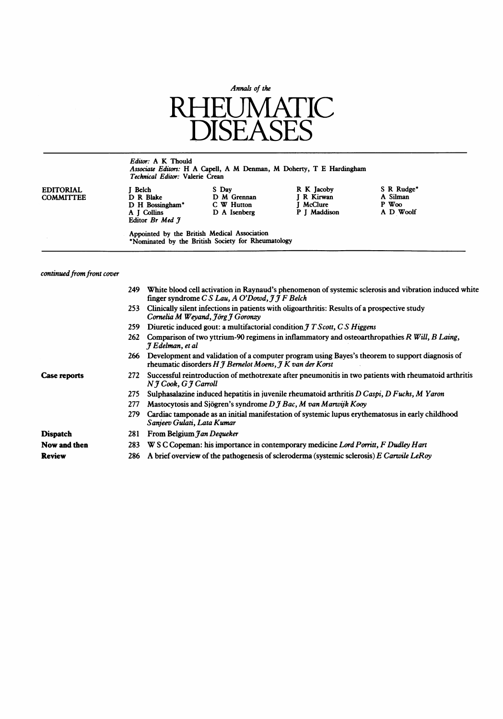

# Editor: A K Thould Associate Editors: H A Capell, A M Denman, M Doherty, T <sup>E</sup> Hardingham Technical Editor: Valerie Crean

| EDITORIAL        |  |
|------------------|--|
| <b>COMMITTEE</b> |  |
|                  |  |
|                  |  |

| <b>EDITORIAL</b><br><b>COMMITTEE</b> | Belch<br>D R Blake<br>D H Bossingham*<br>A I Collins | S Day<br>D M Grennan<br>C W Hutton<br>D A Isenberg | R K Jacoby<br>I R Kirwan<br><b>I</b> McClure<br>P J Maddison | S R Rudge <sup>*</sup><br>A Silman<br>$P$ Woo<br>A D Woolf |
|--------------------------------------|------------------------------------------------------|----------------------------------------------------|--------------------------------------------------------------|------------------------------------------------------------|
|                                      | Editor Br Med 9                                      |                                                    |                                                              |                                                            |

Appointed by the British Medical Association \*Nominated by the British Society for Rheumatology

# continued from front cover

|                 | 249 | White blood cell activation in Raynaud's phenomenon of systemic sclerosis and vibration induced white<br>finger syndrome $CS$ Lau, A O'Dowd, $\hat{\jmath}$ $\hat{\jmath}$ F Belch  |
|-----------------|-----|-------------------------------------------------------------------------------------------------------------------------------------------------------------------------------------|
|                 | 253 | Clinically silent infections in patients with oligoarthritis: Results of a prospective study<br>Cornelia M Weyand, Jörg J Goronzy                                                   |
|                 | 259 | Diuretic induced gout: a multifactorial condition $\hat{\jmath}$ T Scott, C S Higgens                                                                                               |
|                 | 262 | Comparison of two yttrium-90 regimens in inflammatory and osteoarthropathies R Will, B Laing,<br>J Edelman, et al                                                                   |
|                 | 266 | Development and validation of a computer program using Bayes's theorem to support diagnosis of<br>rheumatic disorders $H \mathcal{J}$ Bernelot Moens, $\mathcal{J} K$ van der Korst |
| Case reports    | 272 | Successful reintroduction of methotrexate after pneumonitis in two patients with rheumatoid arthritis<br>$N \nmid \textit{Cook}, G \nmid \textit{Carroll}$                          |
|                 | 275 | Sulphasalazine induced hepatitis in juvenile rheumatoid arthritis D Caspi, D Fuchs, M Yaron                                                                                         |
|                 | 277 | Mastocytosis and Sjögren's syndrome D J Bac, M van Marwijk Kooy                                                                                                                     |
|                 | 279 | Cardiac tamponade as an initial manifestation of systemic lupus erythematosus in early childhood<br>Sanjeev Gulati, Lata Kumar                                                      |
| <b>Dispatch</b> | 281 | From Belgium Jan Dequeker                                                                                                                                                           |
| Now and then    | 283 | W S C Copeman: his importance in contemporary medicine Lord Porritt, F Dudley Hart                                                                                                  |
| <b>Review</b>   | 286 | A brief overview of the pathogenesis of scleroderma (systemic sclerosis) E Carwile LeRoy                                                                                            |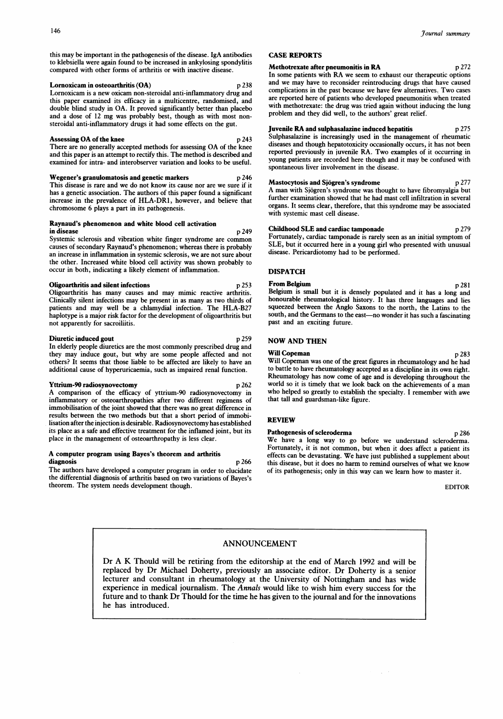16<br>
16<br>
is may be important in the pathogonogic of the discess. Is A entibedies<br>
16 OASE PEROPTS this may be important in the pathogenesis of the disease. IgA antibodies to klebsiella were again found to be increased in ankylosing spondylitis compared with other forms of arthritis or with inactive disease.

#### Lornoxicam in osteoarthritis (OA) p 238

Lornoxicam is <sup>a</sup> new oxicam non-steroidal anti-inflammatory drug and this paper examined its efficacy in a multicentre, randomised, and double blind study in OA. It proved significantly better than placebo and <sup>a</sup> dose of <sup>12</sup> mg was probably best, though as with most nonsteroidal anti-inflammatory drugs it had some effects on the gut.

#### Assessing OA of the knee p 243

There are no generally accepted methods for assessing OA of the knee and this paper is an attempt to rectify this. The method is described and examined for intra- and interobserver variation and looks to be useful.

### Wegener's granulomatosis and genetic markers p 246

This disease is rare and we do not know its cause nor are we sure if it has a genetic association. The authors of this paper found a significant increase in the prevalence of HLA-DR1, however, and believe that chromosome 6 plays a part in its pathogenesis.

#### Raynaud's phenomenon and white blood celi activation in disease p 249

Systemic sclerosis and vibration white finger syndrome are common causes of secondary Raynaud's phenomenon; whereas there is probably an increase in inflammation in systemic sclerosis, we are not sure about the other. Increased white blood cell activity was shown probably to occur in both, indicating a likely element of inflammation.

#### Oligoarthritis and silent infections p 253

Oligoarthritis has many causes and may mimic reactive arthritis. Clinically silent infections may be present in as many as two thirds of patients and may well be a chlamydial infection. The HLA-B27 haplotype is a major risk factor for the development of oligoarthritis but not apparently for sacroiliitis.

#### Diuretic induced gout p 259

In elderly people diuretics are the most commonly prescribed drug and they may induce gout, but why are some people affected and not others? It seems that those liable to be affected are likely to have an additional cause of hyperuricaemia, such as impaired renal function.

# Yttrium-90 radiosynovectomy p 262

A comparison of the efficacy of yttrium-90 radiosynovectomy in inflammatory or osteoarthropathies after two different regimens of immobilisation of the joint showed that there was no great difference in results between the two methods but that a short period of immobilisation after the injection is desirable. Radiosynovectomy has established its place as a safe and effective treatment for the inflamed joint, but its place in the management of osteoarthropathy is less clear.

#### A computer program using Bayes's theorem and arthritis diagnosis p 266

The authors have developed <sup>a</sup> computer program in order to elucidate the differential diagnosis of arthritis based on two variations of Bayes's theorem. The system needs development though.

### CASE REPORTS

#### Methotrexate after pneumonitis in RA p 272

In some patients with RA we seem to exhaust our therapeutic options and we may have to reconsider reintroducing drugs that have caused complications in the past because we have few alternatives. Two cases are reported here of patients who developed pneumonitis when treated with methotrexate: the drug was tried again without inducing the lung problem and they did well, to the authors' great relief.

# Juvenile RA and sulphasalazine induced hepatitis p 275

Sulphasalazine is increasingly used in the management of rheumatic diseases and though hepatotoxicity occasionally occurs, it has not been reported previously in juvenile RA. Two examples of it occurring in young patients are recorded here though and it may be confused with spontaneous liver involvement in the disease.

### Mastocytosis and Sjögren's syndrome<br>
p 277

A man with Sjogren's syndrome was thought to have fibromyalgia but further examination showed that he had mast cell infiltration in several organs. It seems clear, therefore, that this syndrome may be associated with systemic mast cell disease.

# Childhood SLE and cardiac tamponade p 279

Fortunately, cardiac tamponade is rarely seen as an initial symptom of SLE, but it occurred here in a young girl who presented with unusual disease. Pericardiotomy had to be performed.

# DISPATCH

From Belgium p 281 Belgium is small but it is densely populated and it has a long and honourable rheumatological history. It has three languages and lies squeezed between the Anglo Saxons to the north, the Latins to the south, and the Germans to the east-no wonder it has such a fascinating past and an exciting future.

### NOW AND THEN

Will Copeman p 283 Will Copeman was one of the great figures in rheumatology and he had to battle to have rheumatology accepted as a discipline in its own right. Rheumatology has now come of age and is developing throughout the world so it is timely that we look back on the achievements of <sup>a</sup> man who helped so greatly to establish the specialty. <sup>I</sup> remember with awe that tall and guardsman-like figure.

# REVIEW

# Pathogenesis of scleroderma p 286

We have <sup>a</sup> long way to go before we understand scleroderma. Fortunately, it is not common, but when it does affect a patient its effects can be devastating. We have just published <sup>a</sup> supplement about this disease, but it does no harm to remind ourselves of what we know of its pathogenesis; only in this way can we learn how to master it.

EDITOR

# ANNOUNCEMENT

Dr A K Thould will be retiring from the editorship at the end of March <sup>1992</sup> and will be replaced by Dr Michael Doherty, previously an associate editor. Dr Doherty is <sup>a</sup> senior lecturer and consultant in rheumatology at the University of Nottingham and has wide experience in medical journalism. The Annals would like to wish him every success for the future and to thank Dr Thould for the time he has given to the journal and for the innovations he has introduced.